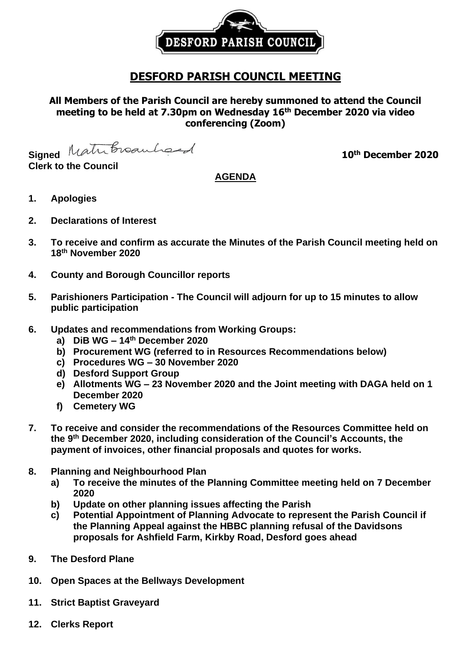

# **DESFORD PARISH COUNCIL MEETING**

**All Members of the Parish Council are hereby summoned to attend the Council meeting to be held at 7.30pm on Wednesday 16 th December 2020 via video conferencing (Zoom)**

**Signed** Matribroauhord

**Clerk to the Council**

# **th December 2020**

## **AGENDA**

- **1. Apologies**
- **2. Declarations of Interest**
- **3. To receive and confirm as accurate the Minutes of the Parish Council meeting held on 18th November 2020**
- **4. County and Borough Councillor reports**
- **5. Parishioners Participation - The Council will adjourn for up to 15 minutes to allow public participation**
- **6. Updates and recommendations from Working Groups:**
	- **a) DiB WG – 14 th December 2020**
	- **b) Procurement WG (referred to in Resources Recommendations below)**
	- **c) Procedures WG – 30 November 2020**
	- **d) Desford Support Group**
	- **e) Allotments WG – 23 November 2020 and the Joint meeting with DAGA held on 1 December 2020**
	- **f) Cemetery WG**
- **7. To receive and consider the recommendations of the Resources Committee held on the 9 th December 2020, including consideration of the Council's Accounts, the payment of invoices, other financial proposals and quotes for works.**
- **8. Planning and Neighbourhood Plan**
	- **a) To receive the minutes of the Planning Committee meeting held on 7 December 2020**
	- **b) Update on other planning issues affecting the Parish**
	- **c) Potential Appointment of Planning Advocate to represent the Parish Council if the Planning Appeal against the HBBC planning refusal of the Davidsons proposals for Ashfield Farm, Kirkby Road, Desford goes ahead**
- **9. The Desford Plane**
- **10. Open Spaces at the Bellways Development**
- **11. Strict Baptist Graveyard**
- **12. Clerks Report**